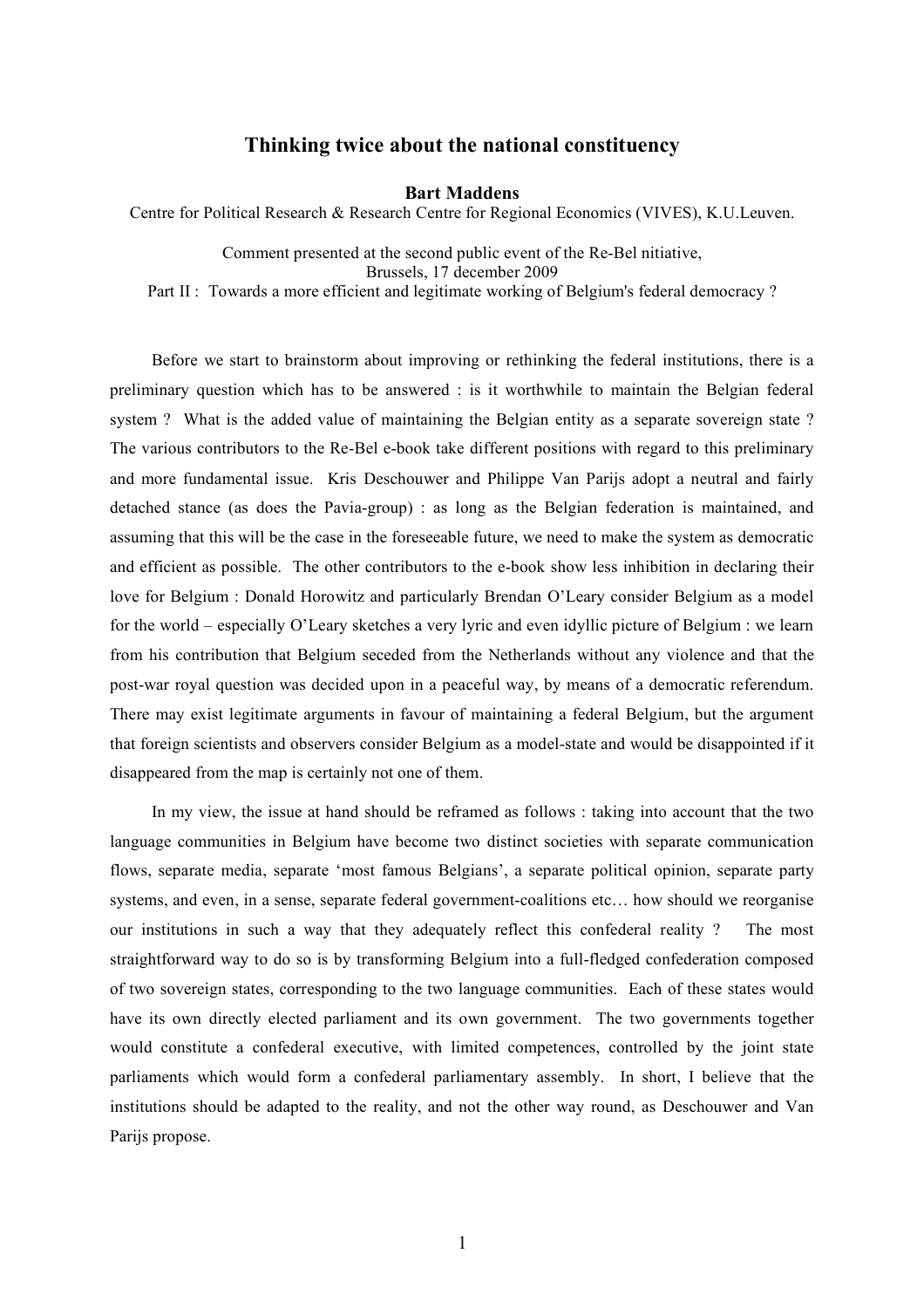## **Thinking twice about the national constituency**

## **Bart Maddens**

Centre for Political Research & Research Centre for Regional Economics (VIVES), K.U.Leuven.

Comment presented at the second public event of the Re-Bel nitiative, Brussels, 17 december 2009 Part II : Towards a more efficient and legitimate working of Belgium's federal democracy ?

Before we start to brainstorm about improving or rethinking the federal institutions, there is a preliminary question which has to be answered : is it worthwhile to maintain the Belgian federal system ? What is the added value of maintaining the Belgian entity as a separate sovereign state ? The various contributors to the Re-Bel e-book take different positions with regard to this preliminary and more fundamental issue. Kris Deschouwer and Philippe Van Parijs adopt a neutral and fairly detached stance (as does the Pavia-group) : as long as the Belgian federation is maintained, and assuming that this will be the case in the foreseeable future, we need to make the system as democratic and efficient as possible. The other contributors to the e-book show less inhibition in declaring their love for Belgium : Donald Horowitz and particularly Brendan O'Leary consider Belgium as a model for the world – especially O'Leary sketches a very lyric and even idyllic picture of Belgium : we learn from his contribution that Belgium seceded from the Netherlands without any violence and that the post-war royal question was decided upon in a peaceful way, by means of a democratic referendum. There may exist legitimate arguments in favour of maintaining a federal Belgium, but the argument that foreign scientists and observers consider Belgium as a model-state and would be disappointed if it disappeared from the map is certainly not one of them.

In my view, the issue at hand should be reframed as follows : taking into account that the two language communities in Belgium have become two distinct societies with separate communication flows, separate media, separate 'most famous Belgians', a separate political opinion, separate party systems, and even, in a sense, separate federal government-coalitions etc… how should we reorganise our institutions in such a way that they adequately reflect this confederal reality ? The most straightforward way to do so is by transforming Belgium into a full-fledged confederation composed of two sovereign states, corresponding to the two language communities. Each of these states would have its own directly elected parliament and its own government. The two governments together would constitute a confederal executive, with limited competences, controlled by the joint state parliaments which would form a confederal parliamentary assembly. In short, I believe that the institutions should be adapted to the reality, and not the other way round, as Deschouwer and Van Parijs propose.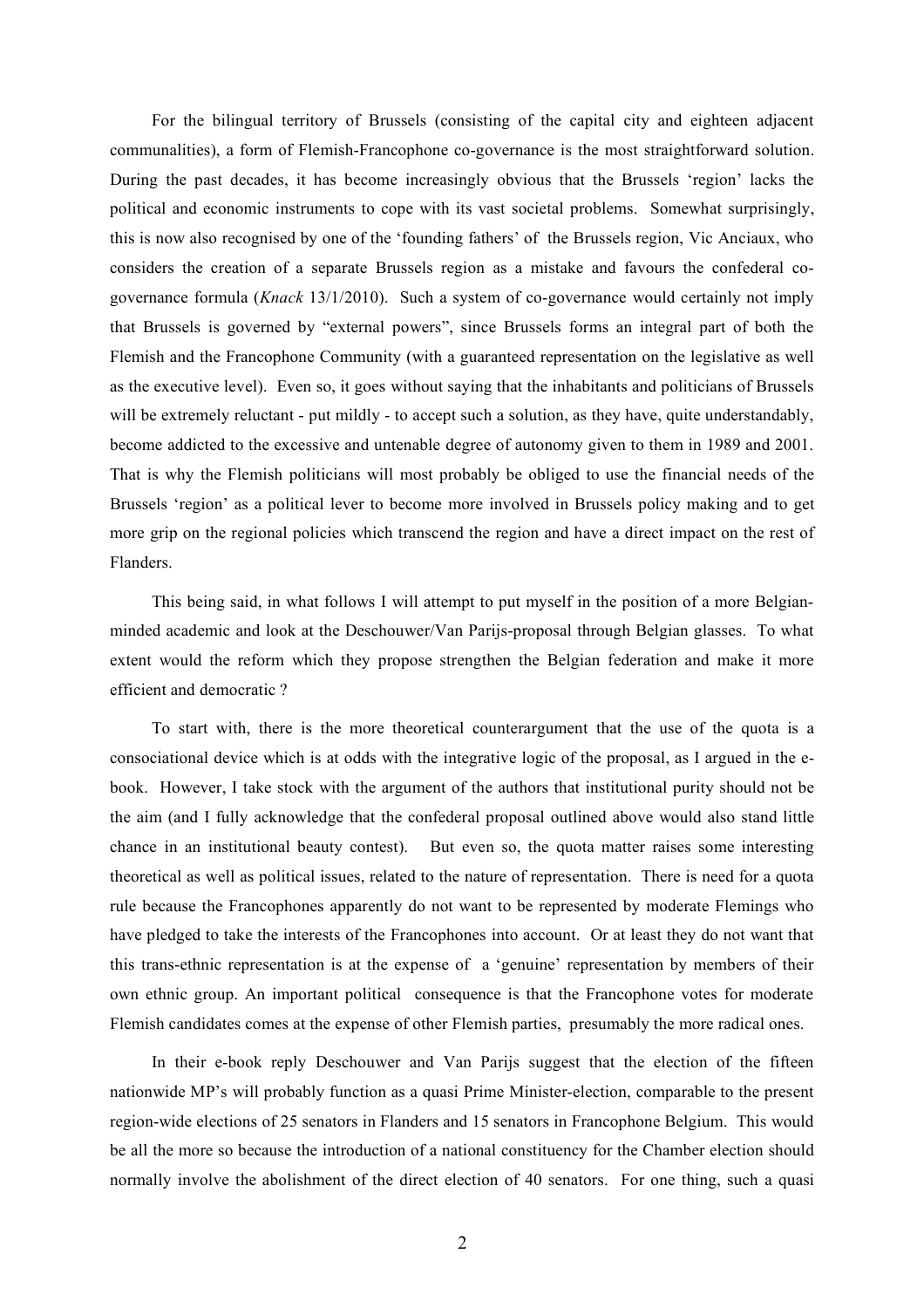For the bilingual territory of Brussels (consisting of the capital city and eighteen adjacent communalities), a form of Flemish-Francophone co-governance is the most straightforward solution. During the past decades, it has become increasingly obvious that the Brussels 'region' lacks the political and economic instruments to cope with its vast societal problems. Somewhat surprisingly, this is now also recognised by one of the 'founding fathers' of the Brussels region, Vic Anciaux, who considers the creation of a separate Brussels region as a mistake and favours the confederal cogovernance formula (*Knack* 13/1/2010). Such a system of co-governance would certainly not imply that Brussels is governed by "external powers", since Brussels forms an integral part of both the Flemish and the Francophone Community (with a guaranteed representation on the legislative as well as the executive level). Even so, it goes without saying that the inhabitants and politicians of Brussels will be extremely reluctant - put mildly - to accept such a solution, as they have, quite understandably, become addicted to the excessive and untenable degree of autonomy given to them in 1989 and 2001. That is why the Flemish politicians will most probably be obliged to use the financial needs of the Brussels 'region' as a political lever to become more involved in Brussels policy making and to get more grip on the regional policies which transcend the region and have a direct impact on the rest of Flanders.

This being said, in what follows I will attempt to put myself in the position of a more Belgianminded academic and look at the Deschouwer/Van Parijs-proposal through Belgian glasses. To what extent would the reform which they propose strengthen the Belgian federation and make it more efficient and democratic ?

To start with, there is the more theoretical counterargument that the use of the quota is a consociational device which is at odds with the integrative logic of the proposal, as I argued in the ebook. However, I take stock with the argument of the authors that institutional purity should not be the aim (and I fully acknowledge that the confederal proposal outlined above would also stand little chance in an institutional beauty contest). But even so, the quota matter raises some interesting theoretical as well as political issues, related to the nature of representation. There is need for a quota rule because the Francophones apparently do not want to be represented by moderate Flemings who have pledged to take the interests of the Francophones into account. Or at least they do not want that this trans-ethnic representation is at the expense of a 'genuine' representation by members of their own ethnic group. An important political consequence is that the Francophone votes for moderate Flemish candidates comes at the expense of other Flemish parties, presumably the more radical ones.

In their e-book reply Deschouwer and Van Parijs suggest that the election of the fifteen nationwide MP's will probably function as a quasi Prime Minister-election, comparable to the present region-wide elections of 25 senators in Flanders and 15 senators in Francophone Belgium. This would be all the more so because the introduction of a national constituency for the Chamber election should normally involve the abolishment of the direct election of 40 senators. For one thing, such a quasi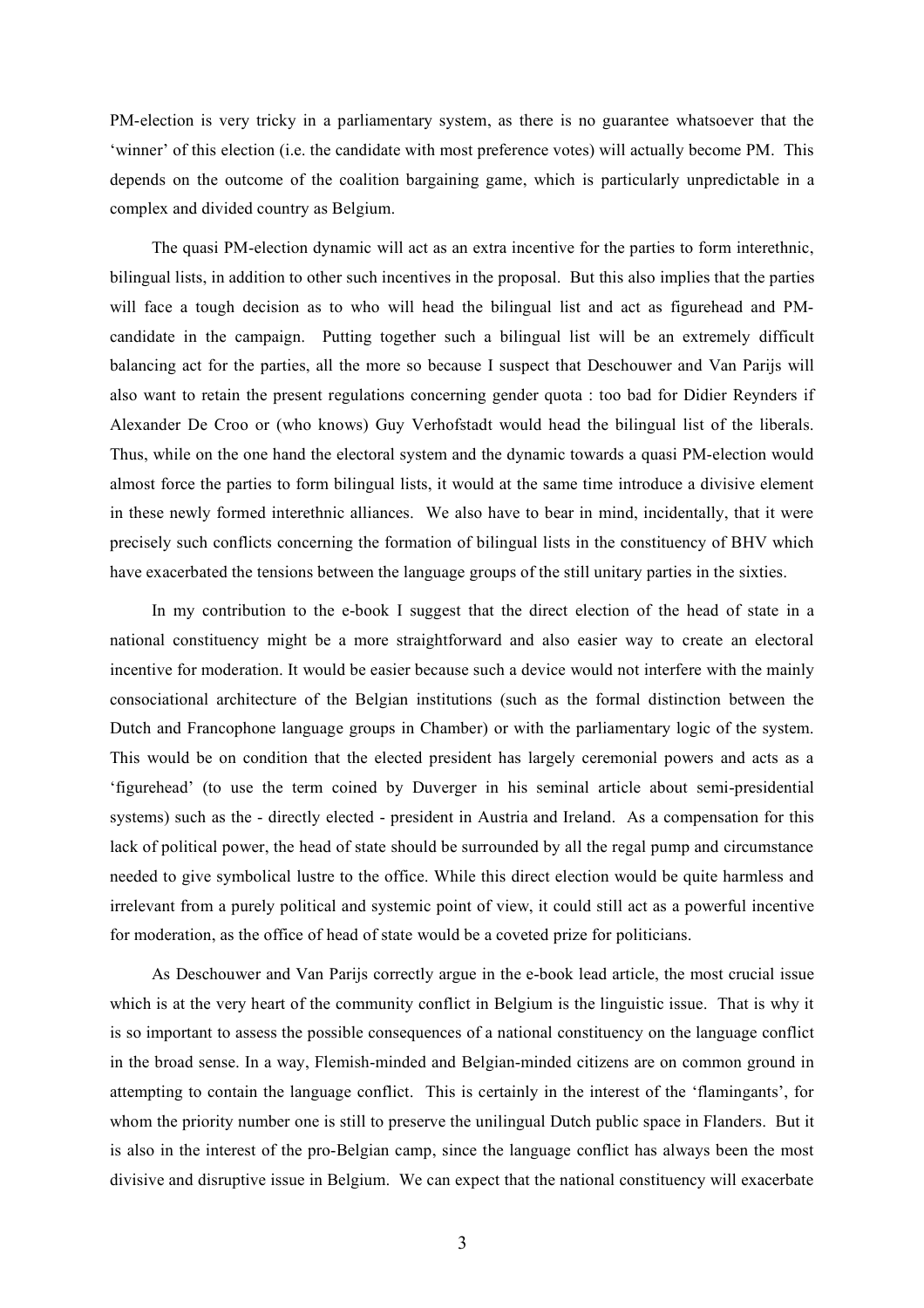PM-election is very tricky in a parliamentary system, as there is no guarantee whatsoever that the 'winner' of this election (i.e. the candidate with most preference votes) will actually become PM. This depends on the outcome of the coalition bargaining game, which is particularly unpredictable in a complex and divided country as Belgium.

The quasi PM-election dynamic will act as an extra incentive for the parties to form interethnic, bilingual lists, in addition to other such incentives in the proposal. But this also implies that the parties will face a tough decision as to who will head the bilingual list and act as figurehead and PMcandidate in the campaign. Putting together such a bilingual list will be an extremely difficult balancing act for the parties, all the more so because I suspect that Deschouwer and Van Parijs will also want to retain the present regulations concerning gender quota : too bad for Didier Reynders if Alexander De Croo or (who knows) Guy Verhofstadt would head the bilingual list of the liberals. Thus, while on the one hand the electoral system and the dynamic towards a quasi PM-election would almost force the parties to form bilingual lists, it would at the same time introduce a divisive element in these newly formed interethnic alliances. We also have to bear in mind, incidentally, that it were precisely such conflicts concerning the formation of bilingual lists in the constituency of BHV which have exacerbated the tensions between the language groups of the still unitary parties in the sixties.

In my contribution to the e-book I suggest that the direct election of the head of state in a national constituency might be a more straightforward and also easier way to create an electoral incentive for moderation. It would be easier because such a device would not interfere with the mainly consociational architecture of the Belgian institutions (such as the formal distinction between the Dutch and Francophone language groups in Chamber) or with the parliamentary logic of the system. This would be on condition that the elected president has largely ceremonial powers and acts as a 'figurehead' (to use the term coined by Duverger in his seminal article about semi-presidential systems) such as the - directly elected - president in Austria and Ireland. As a compensation for this lack of political power, the head of state should be surrounded by all the regal pump and circumstance needed to give symbolical lustre to the office. While this direct election would be quite harmless and irrelevant from a purely political and systemic point of view, it could still act as a powerful incentive for moderation, as the office of head of state would be a coveted prize for politicians.

As Deschouwer and Van Parijs correctly argue in the e-book lead article, the most crucial issue which is at the very heart of the community conflict in Belgium is the linguistic issue. That is why it is so important to assess the possible consequences of a national constituency on the language conflict in the broad sense. In a way, Flemish-minded and Belgian-minded citizens are on common ground in attempting to contain the language conflict. This is certainly in the interest of the 'flamingants', for whom the priority number one is still to preserve the unilingual Dutch public space in Flanders. But it is also in the interest of the pro-Belgian camp, since the language conflict has always been the most divisive and disruptive issue in Belgium. We can expect that the national constituency will exacerbate